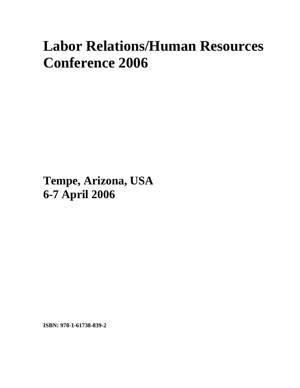## **Labor Relations/Human Resources Conference 2006**

**Tempe, Arizona, USA 6-7 April 2006**

**ISBN: 978-1-61738-839-2**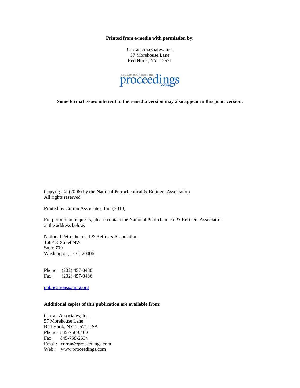**Printed from e-media with permission by:** 

Curran Associates, Inc. 57 Morehouse Lane Red Hook, NY 12571



**Some format issues inherent in the e-media version may also appear in this print version.** 

Copyright© (2006) by the National Petrochemical & Refiners Association All rights reserved.

Printed by Curran Associates, Inc. (2010)

For permission requests, please contact the National Petrochemical & Refiners Association at the address below.

National Petrochemical & Refiners Association 1667 K Street NW Suite 700 Washington, D. C. 20006

Phone: (202) 457-0480 Fax: (202) 457-0486

publications@npra.org

## **Additional copies of this publication are available from:**

Curran Associates, Inc. 57 Morehouse Lane Red Hook, NY 12571 USA Phone: 845-758-0400 Fax: 845-758-2634 Email: curran@proceedings.com Web: www.proceedings.com